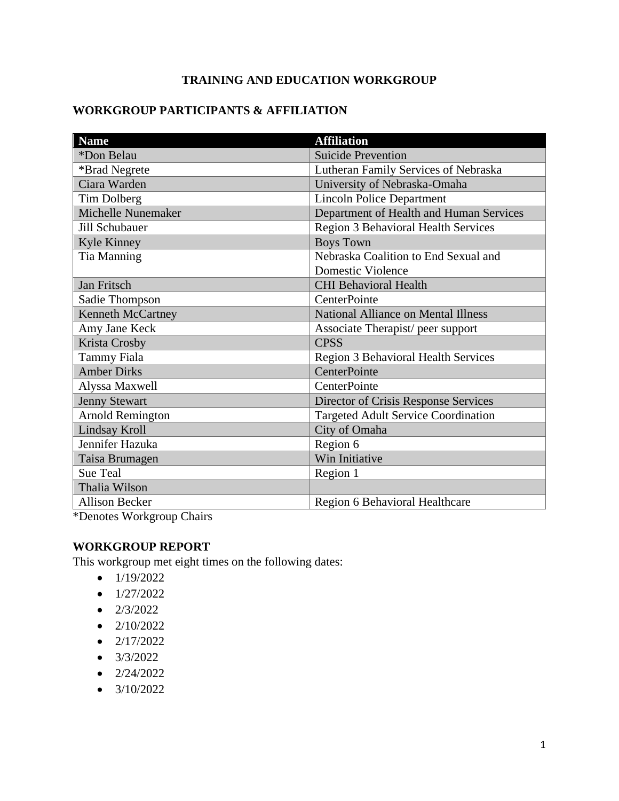# **TRAINING AND EDUCATION WORKGROUP**

# **WORKGROUP PARTICIPANTS & AFFILIATION**

| <b>Name</b>               | <b>Affiliation</b>                         |
|---------------------------|--------------------------------------------|
| *Don Belau                | <b>Suicide Prevention</b>                  |
| *Brad Negrete             | Lutheran Family Services of Nebraska       |
| Ciara Warden              | University of Nebraska-Omaha               |
| Tim Dolberg               | <b>Lincoln Police Department</b>           |
| <b>Michelle Nunemaker</b> | Department of Health and Human Services    |
| Jill Schubauer            | <b>Region 3 Behavioral Health Services</b> |
| Kyle Kinney               | <b>Boys Town</b>                           |
| Tia Manning               | Nebraska Coalition to End Sexual and       |
|                           | Domestic Violence                          |
| Jan Fritsch               | <b>CHI Behavioral Health</b>               |
| Sadie Thompson            | CenterPointe                               |
| <b>Kenneth McCartney</b>  | <b>National Alliance on Mental Illness</b> |
| Amy Jane Keck             | Associate Therapist/peer support           |
| Krista Crosby             | <b>CPSS</b>                                |
| <b>Tammy Fiala</b>        | <b>Region 3 Behavioral Health Services</b> |
| <b>Amber Dirks</b>        | CenterPointe                               |
| Alyssa Maxwell            | CenterPointe                               |
| <b>Jenny Stewart</b>      | Director of Crisis Response Services       |
| <b>Arnold Remington</b>   | <b>Targeted Adult Service Coordination</b> |
| Lindsay Kroll             | City of Omaha                              |
| Jennifer Hazuka           | Region 6                                   |
| Taisa Brumagen            | Win Initiative                             |
| Sue Teal                  | Region 1                                   |
| Thalia Wilson             |                                            |
| <b>Allison Becker</b>     | Region 6 Behavioral Healthcare             |

\*Denotes Workgroup Chairs

## **WORKGROUP REPORT**

This workgroup met eight times on the following dates:

- $\bullet$  1/19/2022
- $\bullet$  1/27/2022
- $\bullet$  2/3/2022
- $\bullet$  2/10/2022
- $\bullet$  2/17/2022
- $3/3/2022$
- $\bullet$  2/24/2022
- $3/10/2022$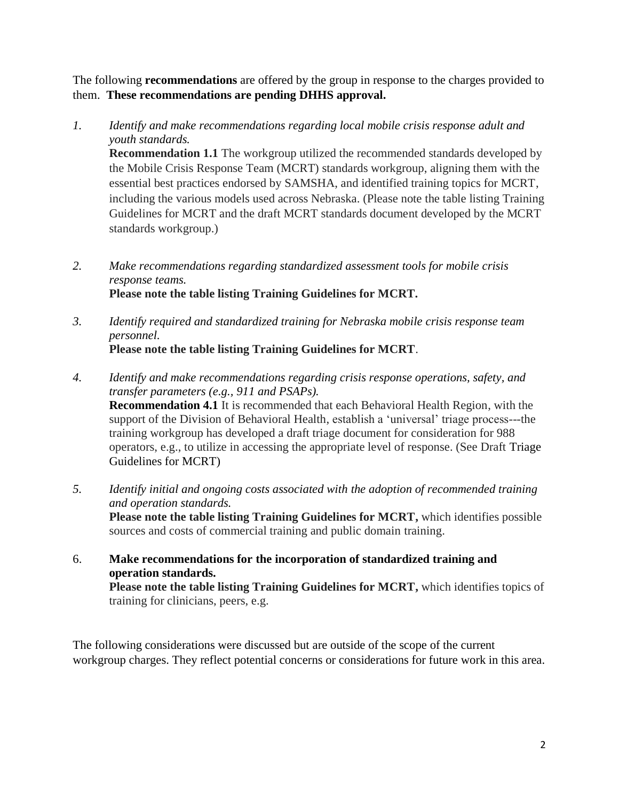The following **recommendations** are offered by the group in response to the charges provided to them. **These recommendations are pending DHHS approval.**

- *1. Identify and make recommendations regarding local mobile crisis response adult and youth standards.* **Recommendation 1.1** The workgroup utilized the recommended standards developed by the Mobile Crisis Response Team (MCRT) standards workgroup, aligning them with the essential best practices endorsed by SAMSHA, and identified training topics for MCRT, including the various models used across Nebraska. (Please note the table listing Training Guidelines for MCRT and the draft MCRT standards document developed by the MCRT standards workgroup.)
- *2. Make recommendations regarding standardized assessment tools for mobile crisis response teams.*  **Please note the table listing Training Guidelines for MCRT.**
- *3. Identify required and standardized training for Nebraska mobile crisis response team personnel.*  **Please note the table listing Training Guidelines for MCRT**.
- *4. Identify and make recommendations regarding crisis response operations, safety, and transfer parameters (e.g., 911 and PSAPs).*  **Recommendation 4.1** It is recommended that each Behavioral Health Region, with the support of the Division of Behavioral Health, establish a 'universal' triage process---the training workgroup has developed a draft triage document for consideration for 988 operators, e.g., to utilize in accessing the appropriate level of response. (See Draft Triage Guidelines for MCRT)
- *5. Identify initial and ongoing costs associated with the adoption of recommended training and operation standards.* **Please note the table listing Training Guidelines for MCRT,** which identifies possible sources and costs of commercial training and public domain training.
- 6. **Make recommendations for the incorporation of standardized training and operation standards. Please note the table listing Training Guidelines for MCRT,** which identifies topics of training for clinicians, peers, e.g.

The following considerations were discussed but are outside of the scope of the current workgroup charges. They reflect potential concerns or considerations for future work in this area.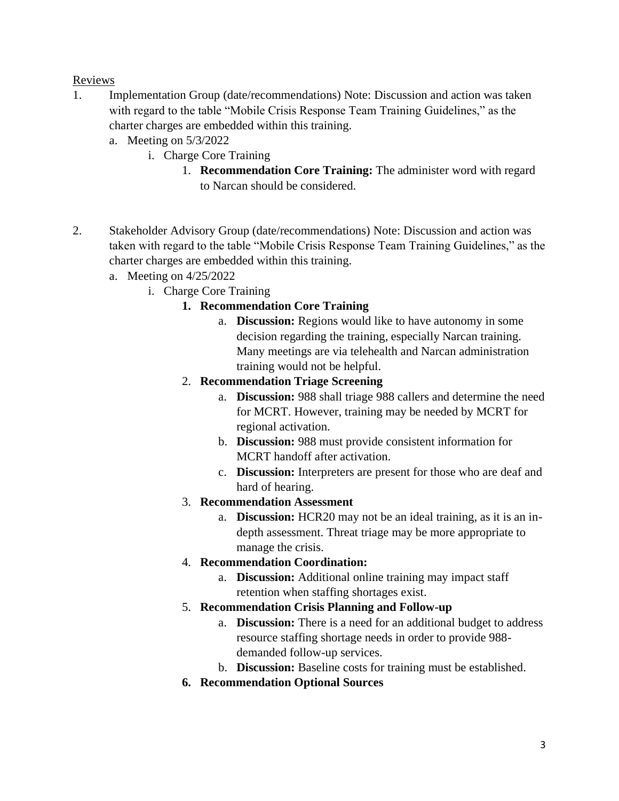### Reviews

- 1. Implementation Group (date/recommendations) Note: Discussion and action was taken with regard to the table "Mobile Crisis Response Team Training Guidelines," as the charter charges are embedded within this training.
	- a. Meeting on 5/3/2022
		- i. Charge Core Training
			- 1. **Recommendation Core Training:** The administer word with regard to Narcan should be considered.
- 2. Stakeholder Advisory Group (date/recommendations) Note: Discussion and action was taken with regard to the table "Mobile Crisis Response Team Training Guidelines," as the charter charges are embedded within this training.
	- a. Meeting on 4/25/2022
		- i. Charge Core Training
			- **1. Recommendation Core Training**
				- a. **Discussion:** Regions would like to have autonomy in some decision regarding the training, especially Narcan training. Many meetings are via telehealth and Narcan administration training would not be helpful.
			- 2. **Recommendation Triage Screening**
				- a. **Discussion:** 988 shall triage 988 callers and determine the need for MCRT. However, training may be needed by MCRT for regional activation.
				- b. **Discussion:** 988 must provide consistent information for MCRT handoff after activation.
				- c. **Discussion:** Interpreters are present for those who are deaf and hard of hearing.
			- 3. **Recommendation Assessment**
				- a. **Discussion:** HCR20 may not be an ideal training, as it is an indepth assessment. Threat triage may be more appropriate to manage the crisis.
			- 4. **Recommendation Coordination:** 
				- a. **Discussion:** Additional online training may impact staff retention when staffing shortages exist.
			- 5. **Recommendation Crisis Planning and Follow-up**
				- a. **Discussion:** There is a need for an additional budget to address resource staffing shortage needs in order to provide 988 demanded follow-up services.
				- b. **Discussion:** Baseline costs for training must be established.
			- **6. Recommendation Optional Sources**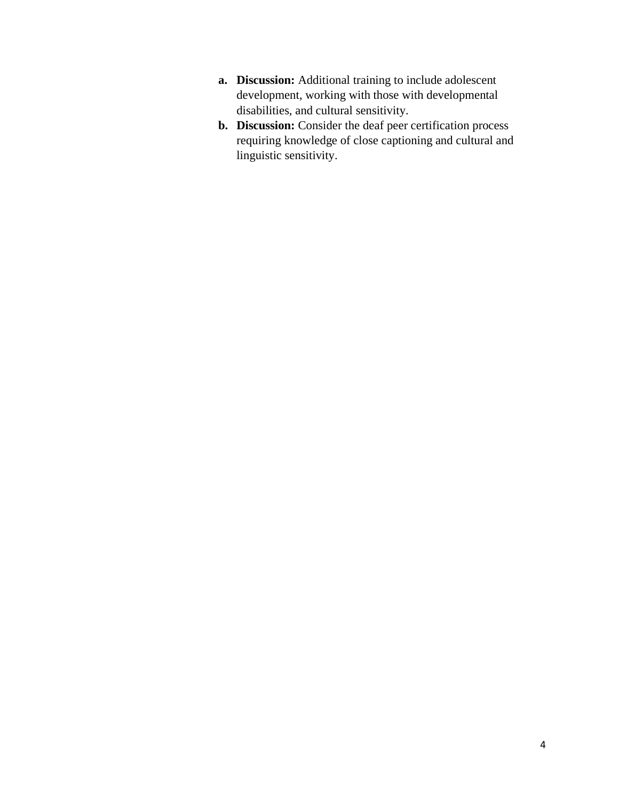- **a. Discussion:** Additional training to include adolescent development, working with those with developmental disabilities, and cultural sensitivity.
- **b. Discussion:** Consider the deaf peer certification process requiring knowledge of close captioning and cultural and linguistic sensitivity.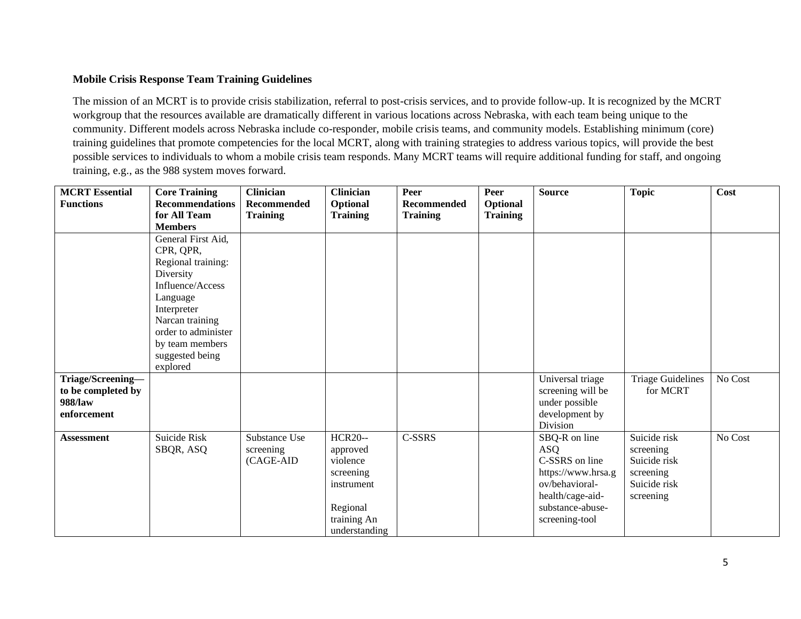#### **Mobile Crisis Response Team Training Guidelines**

The mission of an MCRT is to provide crisis stabilization, referral to post-crisis services, and to provide follow-up. It is recognized by the MCRT workgroup that the resources available are dramatically different in various locations across Nebraska, with each team being unique to the community. Different models across Nebraska include co-responder, mobile crisis teams, and community models. Establishing minimum (core) training guidelines that promote competencies for the local MCRT, along with training strategies to address various topics, will provide the best possible services to individuals to whom a mobile crisis team responds. Many MCRT teams will require additional funding for staff, and ongoing training, e.g., as the 988 system moves forward.

| <b>MCRT</b> Essential | <b>Core Training</b>   | <b>Clinician</b>   | <b>Clinician</b> | Peer            | Peer            | <b>Source</b>              | <b>Topic</b>             | Cost    |
|-----------------------|------------------------|--------------------|------------------|-----------------|-----------------|----------------------------|--------------------------|---------|
| <b>Functions</b>      | <b>Recommendations</b> | <b>Recommended</b> | Optional         | Recommended     | Optional        |                            |                          |         |
|                       | for All Team           | <b>Training</b>    | <b>Training</b>  | <b>Training</b> | <b>Training</b> |                            |                          |         |
|                       | <b>Members</b>         |                    |                  |                 |                 |                            |                          |         |
|                       | General First Aid,     |                    |                  |                 |                 |                            |                          |         |
|                       | CPR, QPR,              |                    |                  |                 |                 |                            |                          |         |
|                       | Regional training:     |                    |                  |                 |                 |                            |                          |         |
|                       | Diversity              |                    |                  |                 |                 |                            |                          |         |
|                       | Influence/Access       |                    |                  |                 |                 |                            |                          |         |
|                       | Language               |                    |                  |                 |                 |                            |                          |         |
|                       | Interpreter            |                    |                  |                 |                 |                            |                          |         |
|                       | Narcan training        |                    |                  |                 |                 |                            |                          |         |
|                       | order to administer    |                    |                  |                 |                 |                            |                          |         |
|                       | by team members        |                    |                  |                 |                 |                            |                          |         |
|                       | suggested being        |                    |                  |                 |                 |                            |                          |         |
|                       | explored               |                    |                  |                 |                 |                            |                          |         |
| Triage/Screening-     |                        |                    |                  |                 |                 | Universal triage           | <b>Triage Guidelines</b> | No Cost |
| to be completed by    |                        |                    |                  |                 |                 | screening will be          | for MCRT                 |         |
| 988/law               |                        |                    |                  |                 |                 | under possible             |                          |         |
| enforcement           |                        |                    |                  |                 |                 | development by<br>Division |                          |         |
| <b>Assessment</b>     | Suicide Risk           | Substance Use      | <b>HCR20--</b>   | C-SSRS          |                 | SBQ-R on line              | Suicide risk             | No Cost |
|                       | SBQR, ASQ              | screening          | approved         |                 |                 | ASQ                        | screening                |         |
|                       |                        | (CAGE-AID          | violence         |                 |                 | C-SSRS on line             | Suicide risk             |         |
|                       |                        |                    | screening        |                 |                 | https://www.hrsa.g         | screening                |         |
|                       |                        |                    | instrument       |                 |                 | ov/behavioral-             | Suicide risk             |         |
|                       |                        |                    |                  |                 |                 | health/cage-aid-           | screening                |         |
|                       |                        |                    | Regional         |                 |                 | substance-abuse-           |                          |         |
|                       |                        |                    | training An      |                 |                 | screening-tool             |                          |         |
|                       |                        |                    | understanding    |                 |                 |                            |                          |         |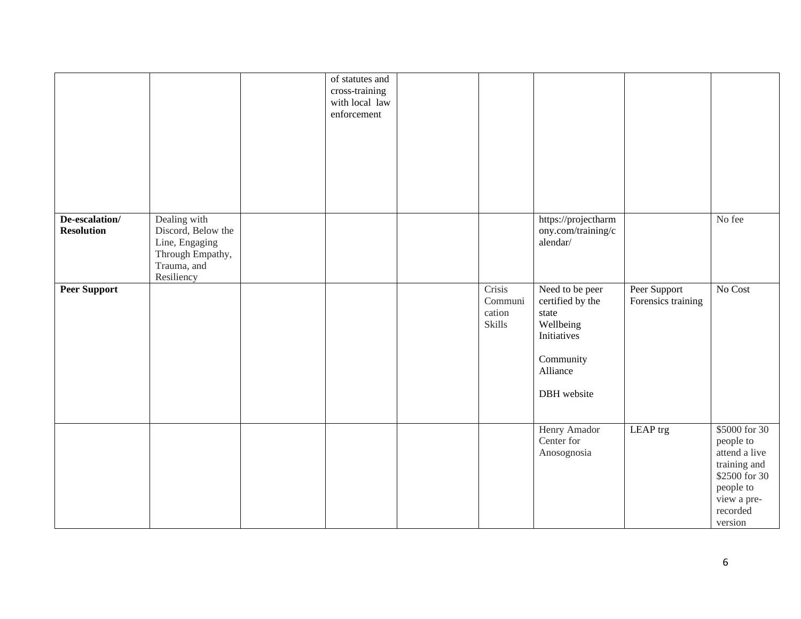|                                     |                                                                                                       | of statutes and<br>cross-training<br>with local law<br>enforcement |                                       |                                                                                                                  |                                    |                                                                                                                                 |
|-------------------------------------|-------------------------------------------------------------------------------------------------------|--------------------------------------------------------------------|---------------------------------------|------------------------------------------------------------------------------------------------------------------|------------------------------------|---------------------------------------------------------------------------------------------------------------------------------|
| De-escalation/<br><b>Resolution</b> | Dealing with<br>Discord, Below the<br>Line, Engaging<br>Through Empathy,<br>Trauma, and<br>Resiliency |                                                                    |                                       | https://projectharm<br>ony.com/training/c<br>alendar/                                                            |                                    | No fee                                                                                                                          |
| <b>Peer Support</b>                 |                                                                                                       |                                                                    | Crisis<br>Communi<br>cation<br>Skills | Need to be peer<br>certified by the<br>state<br>Wellbeing<br>Initiatives<br>Community<br>Alliance<br>DBH website | Peer Support<br>Forensics training | No Cost                                                                                                                         |
|                                     |                                                                                                       |                                                                    |                                       | Henry Amador<br>Center for<br>Anosognosia                                                                        | LEAP trg                           | \$5000 for 30<br>people to<br>attend a live<br>training and<br>\$2500 for 30<br>people to<br>view a pre-<br>recorded<br>version |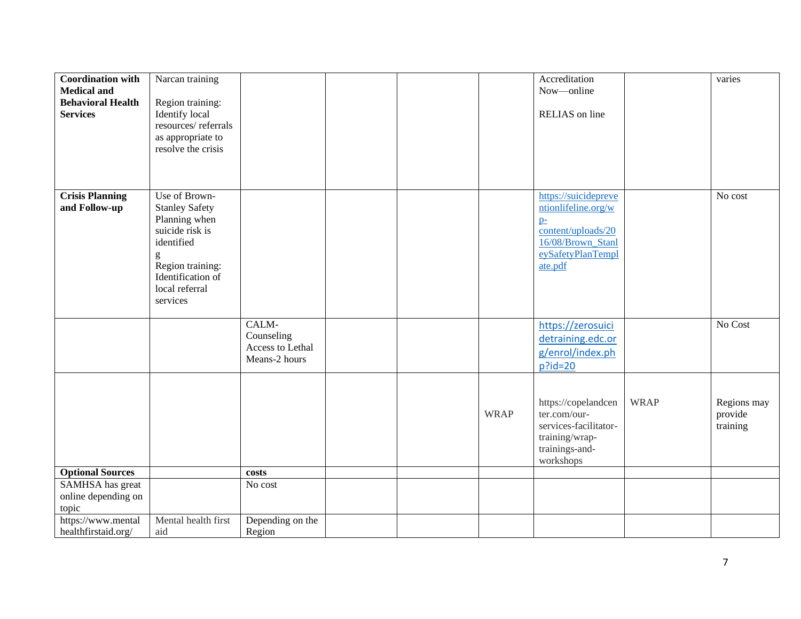| <b>Coordination with</b><br><b>Medical and</b><br><b>Behavioral Health</b><br><b>Services</b> | Narcan training<br>Region training:<br>Identify local<br>resources/referrals<br>as appropriate to<br>resolve the crisis                                              |                                                          |  |             | Accreditation<br>Now-online<br>RELIAS on line                                                                                  |             | varies                             |
|-----------------------------------------------------------------------------------------------|----------------------------------------------------------------------------------------------------------------------------------------------------------------------|----------------------------------------------------------|--|-------------|--------------------------------------------------------------------------------------------------------------------------------|-------------|------------------------------------|
| <b>Crisis Planning</b><br>and Follow-up                                                       | Use of Brown-<br><b>Stanley Safety</b><br>Planning when<br>suicide risk is<br>identified<br>g<br>Region training:<br>Identification of<br>local referral<br>services |                                                          |  |             | https://suicidepreve<br>ntionlifeline.org/w<br>$p-$<br>content/uploads/20<br>16/08/Brown Stanl<br>eySafetyPlanTempl<br>ate.pdf |             | No cost                            |
|                                                                                               |                                                                                                                                                                      | CALM-<br>Counseling<br>Access to Lethal<br>Means-2 hours |  |             | https://zerosuici<br>detraining.edc.or<br>g/enrol/index.ph<br>$p$ ?id=20                                                       |             | No Cost                            |
|                                                                                               |                                                                                                                                                                      |                                                          |  | <b>WRAP</b> | https://copelandcen<br>ter.com/our-<br>services-facilitator-<br>training/wrap-<br>trainings-and-<br>workshops                  | <b>WRAP</b> | Regions may<br>provide<br>training |
| <b>Optional Sources</b><br>SAMHSA has great                                                   |                                                                                                                                                                      | costs<br>No cost                                         |  |             |                                                                                                                                |             |                                    |
| online depending on<br>topic                                                                  |                                                                                                                                                                      |                                                          |  |             |                                                                                                                                |             |                                    |
| https://www.mental<br>healthfirstaid.org/                                                     | Mental health first<br>aid                                                                                                                                           | Depending on the<br>Region                               |  |             |                                                                                                                                |             |                                    |